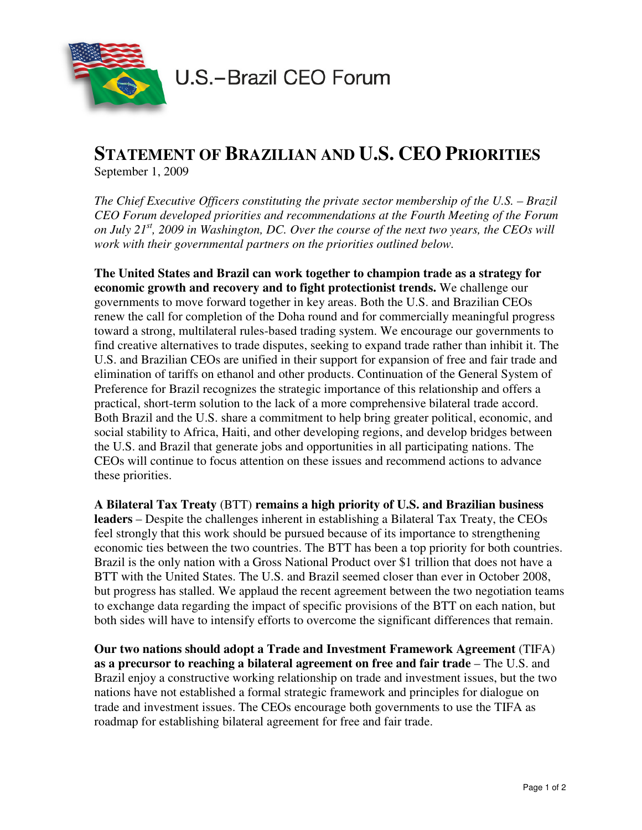

## **STATEMENT OF BRAZILIAN AND U.S. CEO PRIORITIES**

September 1, 2009

*The Chief Executive Officers constituting the private sector membership of the U.S. – Brazil CEO Forum developed priorities and recommendations at the Fourth Meeting of the Forum on July 21st, 2009 in Washington, DC. Over the course of the next two years, the CEOs will work with their governmental partners on the priorities outlined below.* 

**The United States and Brazil can work together to champion trade as a strategy for economic growth and recovery and to fight protectionist trends.** We challenge our governments to move forward together in key areas. Both the U.S. and Brazilian CEOs renew the call for completion of the Doha round and for commercially meaningful progress toward a strong, multilateral rules-based trading system. We encourage our governments to find creative alternatives to trade disputes, seeking to expand trade rather than inhibit it. The U.S. and Brazilian CEOs are unified in their support for expansion of free and fair trade and elimination of tariffs on ethanol and other products. Continuation of the General System of Preference for Brazil recognizes the strategic importance of this relationship and offers a practical, short-term solution to the lack of a more comprehensive bilateral trade accord. Both Brazil and the U.S. share a commitment to help bring greater political, economic, and social stability to Africa, Haiti, and other developing regions, and develop bridges between the U.S. and Brazil that generate jobs and opportunities in all participating nations. The CEOs will continue to focus attention on these issues and recommend actions to advance these priorities.

**A Bilateral Tax Treaty** (BTT) **remains a high priority of U.S. and Brazilian business leaders** – Despite the challenges inherent in establishing a Bilateral Tax Treaty, the CEOs feel strongly that this work should be pursued because of its importance to strengthening economic ties between the two countries. The BTT has been a top priority for both countries. Brazil is the only nation with a Gross National Product over \$1 trillion that does not have a BTT with the United States. The U.S. and Brazil seemed closer than ever in October 2008, but progress has stalled. We applaud the recent agreement between the two negotiation teams to exchange data regarding the impact of specific provisions of the BTT on each nation, but both sides will have to intensify efforts to overcome the significant differences that remain.

**Our two nations should adopt a Trade and Investment Framework Agreement** (TIFA) **as a precursor to reaching a bilateral agreement on free and fair trade** – The U.S. and Brazil enjoy a constructive working relationship on trade and investment issues, but the two nations have not established a formal strategic framework and principles for dialogue on trade and investment issues. The CEOs encourage both governments to use the TIFA as roadmap for establishing bilateral agreement for free and fair trade.